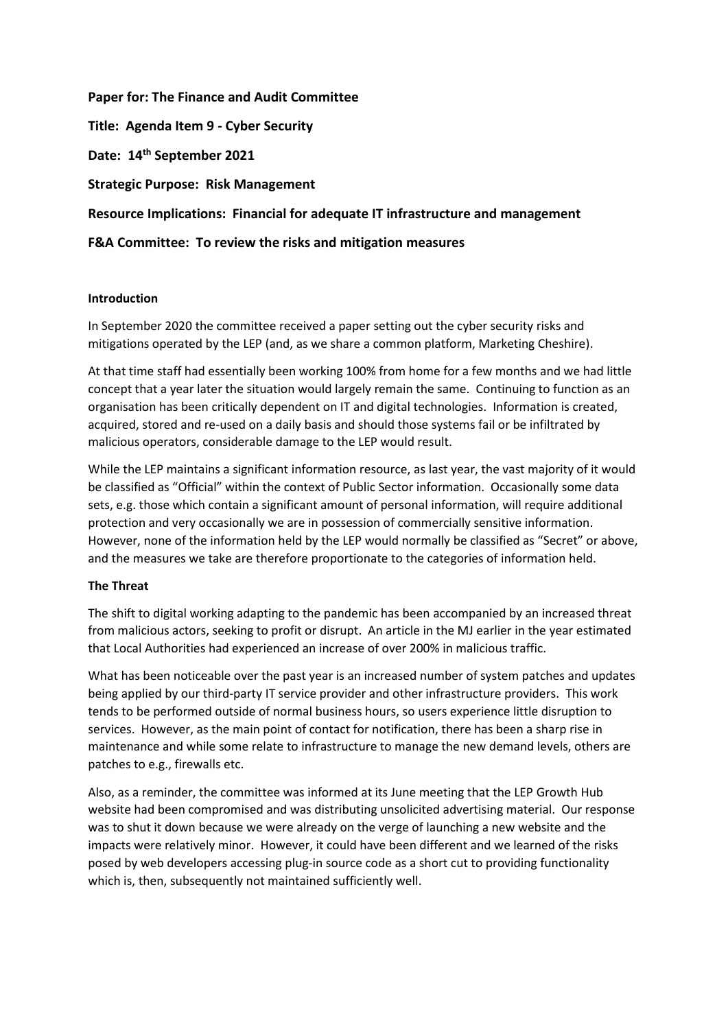**Paper for: The Finance and Audit Committee Title: Agenda Item 9 - Cyber Security Date: 14th September 2021 Strategic Purpose: Risk Management Resource Implications: Financial for adequate IT infrastructure and management F&A Committee: To review the risks and mitigation measures**

### **Introduction**

In September 2020 the committee received a paper setting out the cyber security risks and mitigations operated by the LEP (and, as we share a common platform, Marketing Cheshire).

At that time staff had essentially been working 100% from home for a few months and we had little concept that a year later the situation would largely remain the same. Continuing to function as an organisation has been critically dependent on IT and digital technologies. Information is created, acquired, stored and re-used on a daily basis and should those systems fail or be infiltrated by malicious operators, considerable damage to the LEP would result.

While the LEP maintains a significant information resource, as last year, the vast majority of it would be classified as "Official" within the context of Public Sector information. Occasionally some data sets, e.g. those which contain a significant amount of personal information, will require additional protection and very occasionally we are in possession of commercially sensitive information. However, none of the information held by the LEP would normally be classified as "Secret" or above, and the measures we take are therefore proportionate to the categories of information held.

# **The Threat**

The shift to digital working adapting to the pandemic has been accompanied by an increased threat from malicious actors, seeking to profit or disrupt. An article in the MJ earlier in the year estimated that Local Authorities had experienced an increase of over 200% in malicious traffic.

What has been noticeable over the past year is an increased number of system patches and updates being applied by our third-party IT service provider and other infrastructure providers. This work tends to be performed outside of normal business hours, so users experience little disruption to services. However, as the main point of contact for notification, there has been a sharp rise in maintenance and while some relate to infrastructure to manage the new demand levels, others are patches to e.g., firewalls etc.

Also, as a reminder, the committee was informed at its June meeting that the LEP Growth Hub website had been compromised and was distributing unsolicited advertising material. Our response was to shut it down because we were already on the verge of launching a new website and the impacts were relatively minor. However, it could have been different and we learned of the risks posed by web developers accessing plug-in source code as a short cut to providing functionality which is, then, subsequently not maintained sufficiently well.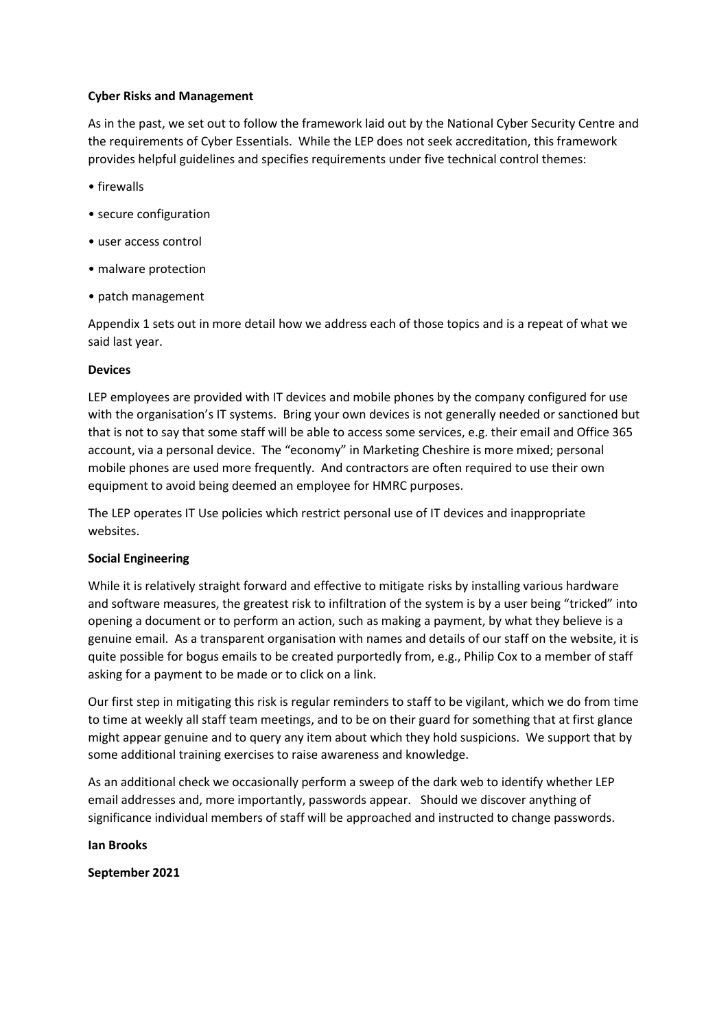## **Cyber Risks and Management**

As in the past, we set out to follow the framework laid out by the National Cyber Security Centre and the requirements of Cyber Essentials. While the LEP does not seek accreditation, this framework provides helpful guidelines and specifies requirements under five technical control themes:

- firewalls
- secure configuration
- user access control
- malware protection
- patch management

Appendix 1 sets out in more detail how we address each of those topics and is a repeat of what we said last year.

## **Devices**

LEP employees are provided with IT devices and mobile phones by the company configured for use with the organisation's IT systems. Bring your own devices is not generally needed or sanctioned but that is not to say that some staff will be able to access some services, e.g. their email and Office 365 account, via a personal device. The "economy" in Marketing Cheshire is more mixed; personal mobile phones are used more frequently. And contractors are often required to use their own equipment to avoid being deemed an employee for HMRC purposes.

The LEP operates IT Use policies which restrict personal use of IT devices and inappropriate websites.

# **Social Engineering**

While it is relatively straight forward and effective to mitigate risks by installing various hardware and software measures, the greatest risk to infiltration of the system is by a user being "tricked" into opening a document or to perform an action, such as making a payment, by what they believe is a genuine email. As a transparent organisation with names and details of our staff on the website, it is quite possible for bogus emails to be created purportedly from, e.g., Philip Cox to a member of staff asking for a payment to be made or to click on a link.

Our first step in mitigating this risk is regular reminders to staff to be vigilant, which we do from time to time at weekly all staff team meetings, and to be on their guard for something that at first glance might appear genuine and to query any item about which they hold suspicions. We support that by some additional training exercises to raise awareness and knowledge.

As an additional check we occasionally perform a sweep of the dark web to identify whether LEP email addresses and, more importantly, passwords appear. Should we discover anything of significance individual members of staff will be approached and instructed to change passwords.

**Ian Brooks**

**September 2021**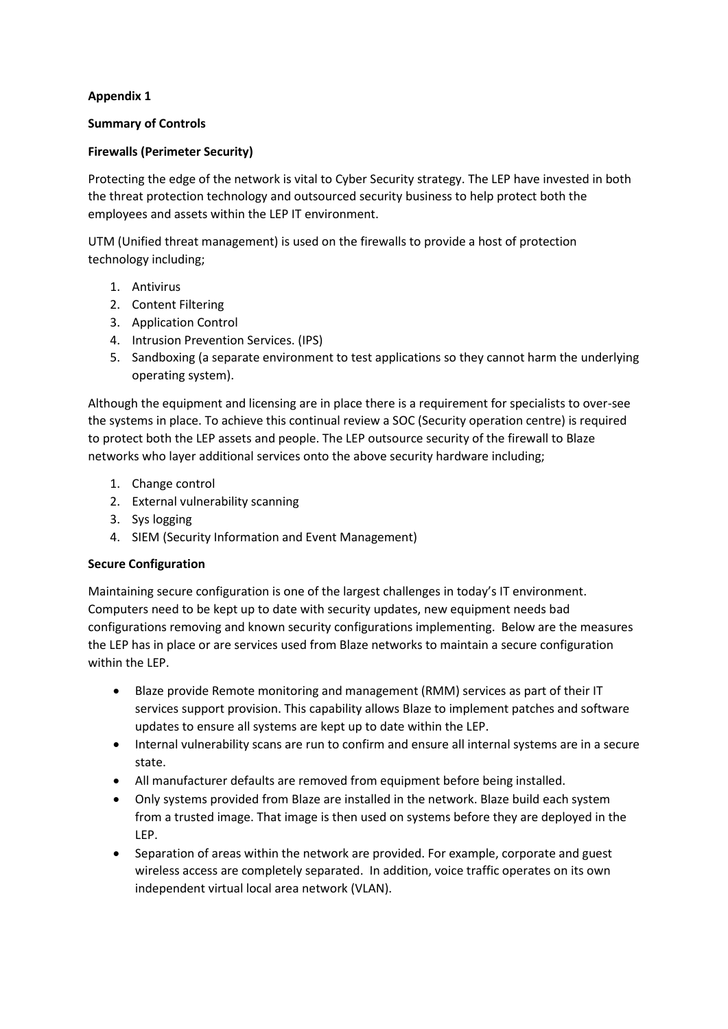# **Appendix 1**

## **Summary of Controls**

## **Firewalls (Perimeter Security)**

Protecting the edge of the network is vital to Cyber Security strategy. The LEP have invested in both the threat protection technology and outsourced security business to help protect both the employees and assets within the LEP IT environment.

UTM (Unified threat management) is used on the firewalls to provide a host of protection technology including;

- 1. Antivirus
- 2. Content Filtering
- 3. Application Control
- 4. Intrusion Prevention Services. (IPS)
- 5. Sandboxing (a separate environment to test applications so they cannot harm the underlying operating system).

Although the equipment and licensing are in place there is a requirement for specialists to over-see the systems in place. To achieve this continual review a SOC (Security operation centre) is required to protect both the LEP assets and people. The LEP outsource security of the firewall to Blaze networks who layer additional services onto the above security hardware including;

- 1. Change control
- 2. External vulnerability scanning
- 3. Sys logging
- 4. SIEM (Security Information and Event Management)

# **Secure Configuration**

Maintaining secure configuration is one of the largest challenges in today's IT environment. Computers need to be kept up to date with security updates, new equipment needs bad configurations removing and known security configurations implementing. Below are the measures the LEP has in place or are services used from Blaze networks to maintain a secure configuration within the LEP.

- Blaze provide Remote monitoring and management (RMM) services as part of their IT services support provision. This capability allows Blaze to implement patches and software updates to ensure all systems are kept up to date within the LEP.
- Internal vulnerability scans are run to confirm and ensure all internal systems are in a secure state.
- All manufacturer defaults are removed from equipment before being installed.
- Only systems provided from Blaze are installed in the network. Blaze build each system from a trusted image. That image is then used on systems before they are deployed in the LEP.
- Separation of areas within the network are provided. For example, corporate and guest wireless access are completely separated. In addition, voice traffic operates on its own independent virtual local area network (VLAN).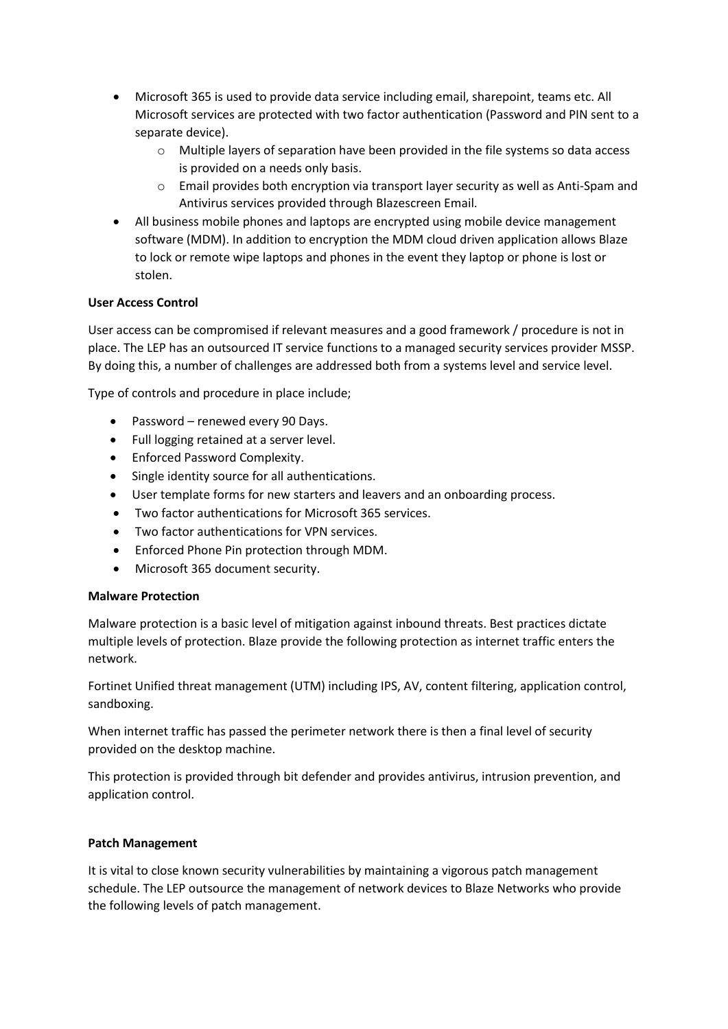- Microsoft 365 is used to provide data service including email, sharepoint, teams etc. All Microsoft services are protected with two factor authentication (Password and PIN sent to a separate device).
	- o Multiple layers of separation have been provided in the file systems so data access is provided on a needs only basis.
	- o Email provides both encryption via transport layer security as well as Anti-Spam and Antivirus services provided through Blazescreen Email.
- All business mobile phones and laptops are encrypted using mobile device management software (MDM). In addition to encryption the MDM cloud driven application allows Blaze to lock or remote wipe laptops and phones in the event they laptop or phone is lost or stolen.

## **User Access Control**

User access can be compromised if relevant measures and a good framework / procedure is not in place. The LEP has an outsourced IT service functions to a managed security services provider MSSP. By doing this, a number of challenges are addressed both from a systems level and service level.

Type of controls and procedure in place include;

- Password renewed every 90 Days.
- Full logging retained at a server level.
- Enforced Password Complexity.
- Single identity source for all authentications.
- User template forms for new starters and leavers and an onboarding process.
- Two factor authentications for Microsoft 365 services.
- Two factor authentications for VPN services.
- Enforced Phone Pin protection through MDM.
- Microsoft 365 document security.

### **Malware Protection**

Malware protection is a basic level of mitigation against inbound threats. Best practices dictate multiple levels of protection. Blaze provide the following protection as internet traffic enters the network.

Fortinet Unified threat management (UTM) including IPS, AV, content filtering, application control, sandboxing.

When internet traffic has passed the perimeter network there is then a final level of security provided on the desktop machine.

This protection is provided through bit defender and provides antivirus, intrusion prevention, and application control.

### **Patch Management**

It is vital to close known security vulnerabilities by maintaining a vigorous patch management schedule. The LEP outsource the management of network devices to Blaze Networks who provide the following levels of patch management.